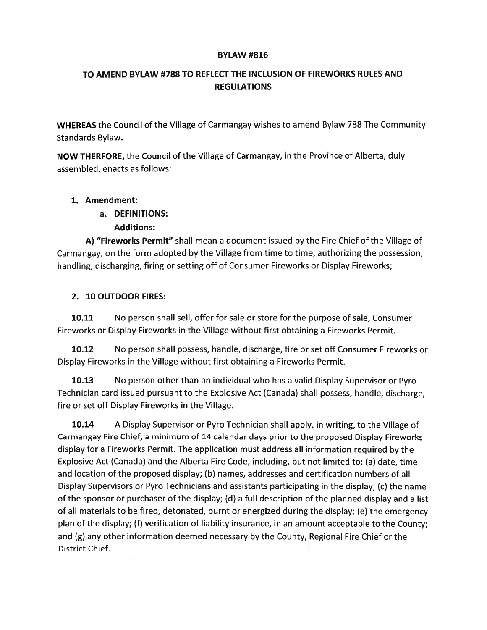#### BYLAW #816

# TO AMEND BYLAW #788 TO REFLECT THE INCLUSION OF FIREWORKS RULES AND REGULATIONS

WHEREAS the Council of the Village of Carmangay wishes to amend Bylaw 78\$ The Community Standards Bylaw.

NOW THERFORE, the Council of the Village of Carmangay, in the Province of Alberta, duly assembled, enacts as follows:

## 1. Amendment:

a. DEFINITIONS:

## Additions:

A) "Fireworks Permit" shall mean a document issued by the Fire Chief of the Village of Carmangay, on the form adopted by the Village from time to time, authorizing the possession, handling, discharging, firing or setting off of Consumer Fireworks or Display Fireworks;

#### 2. 10 OUTDOOR FIRES:

10.11 No person shall sell, offer for sale or store for the purpose of sale, Consumer Fireworks or Display Fireworks in the Village without first obtaining a Fireworks Permit.

10.12 No person shall possess, handle, discharge, fire or set off Consumer Fireworks or Display Fireworks in the Village without first obtaining a Fireworks Permit.

10.13 No person other than an individual who has a valid Display Supervisor or Pyro Technician card issued pursuant to the Explosive Act (Canada) shall possess, handle, discharge, fire or set off Display Fireworks in the Village.

10.14 <sup>A</sup> Display Supervisor or Pyro Technician shall apply, in writing, to the Village of Carmangay Fire Chief, a minimum of 14 calendar days prior to the proposed Display Fireworks display for a Fireworks Permit. The application must address all information required by the Explosive Act (Canada) and the Alberta Fire Code, including, but not limited to: (a) date, time and location of the proposed display; (b) names, addresses and certification numbers of all Display Supervisors or Pyro Technicians and assistants participating in the display; (c) the name of the sponsor or purchaser of the display; (d) a full description of the planned display and a list of all materials to be fired, detonated, burnt or energized during the display; (e) the emergency plan of the display; (f) verification of liability insurance, in an amount acceptable to the County; and (g) any other information deemed necessary by the County, Regional Fire Chief or the District Chief.